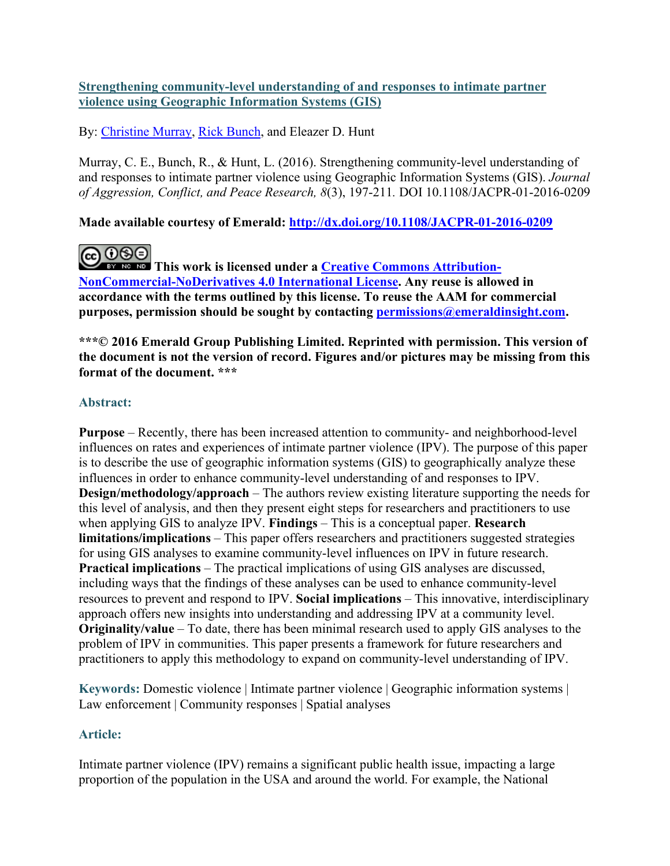## **Strengthening community-level understanding of and responses to intimate partner violence using Geographic Information Systems (GIS)**

By: [Christine Murray,](https://libres.uncg.edu/ir/uncg/clist.aspx?id=894) [Rick Bunch,](http://libres.uncg.edu/ir/uncg/clist.aspx?id=252) and Eleazer D. Hunt

Murray, C. E., Bunch, R., & Hunt, L. (2016). Strengthening community-level understanding of and responses to intimate partner violence using Geographic Information Systems (GIS). *Journal of Aggression, Conflict, and Peace Research, 8*(3), 197-211*.* DOI 10.1108/JACPR-01-2016-0209

**Made available courtesy of Emerald:<http://dx.doi.org/10.1108/JACPR-01-2016-0209>**



**EY NG ND** This work is licensed under a **Creative Commons Attribution-[NonCommercial-NoDerivatives 4.0 International License.](http://creativecommons.org/licenses/by-nc-nd/4.0/) Any reuse is allowed in accordance with the terms outlined by this license. To reuse the AAM for commercial purposes, permission should be sought by contacting [permissions@emeraldinsight.com.](mailto:permissions@emeraldinsight.com)**

**\*\*\*© 2016 Emerald Group Publishing Limited. Reprinted with permission. This version of the document is not the version of record. Figures and/or pictures may be missing from this format of the document. \*\*\***

## **Abstract:**

**Purpose** – Recently, there has been increased attention to community- and neighborhood-level influences on rates and experiences of intimate partner violence (IPV). The purpose of this paper is to describe the use of geographic information systems (GIS) to geographically analyze these influences in order to enhance community-level understanding of and responses to IPV. **Design/methodology/approach** – The authors review existing literature supporting the needs for this level of analysis, and then they present eight steps for researchers and practitioners to use when applying GIS to analyze IPV. **Findings** – This is a conceptual paper. **Research limitations/implications** – This paper offers researchers and practitioners suggested strategies for using GIS analyses to examine community-level influences on IPV in future research. **Practical implications** – The practical implications of using GIS analyses are discussed, including ways that the findings of these analyses can be used to enhance community-level resources to prevent and respond to IPV. **Social implications** – This innovative, interdisciplinary approach offers new insights into understanding and addressing IPV at a community level. **Originality/value** – To date, there has been minimal research used to apply GIS analyses to the problem of IPV in communities. This paper presents a framework for future researchers and practitioners to apply this methodology to expand on community-level understanding of IPV.

**Keywords:** Domestic violence | Intimate partner violence | Geographic information systems | Law enforcement | Community responses | Spatial analyses

## **Article:**

Intimate partner violence (IPV) remains a significant public health issue, impacting a large proportion of the population in the USA and around the world. For example, the National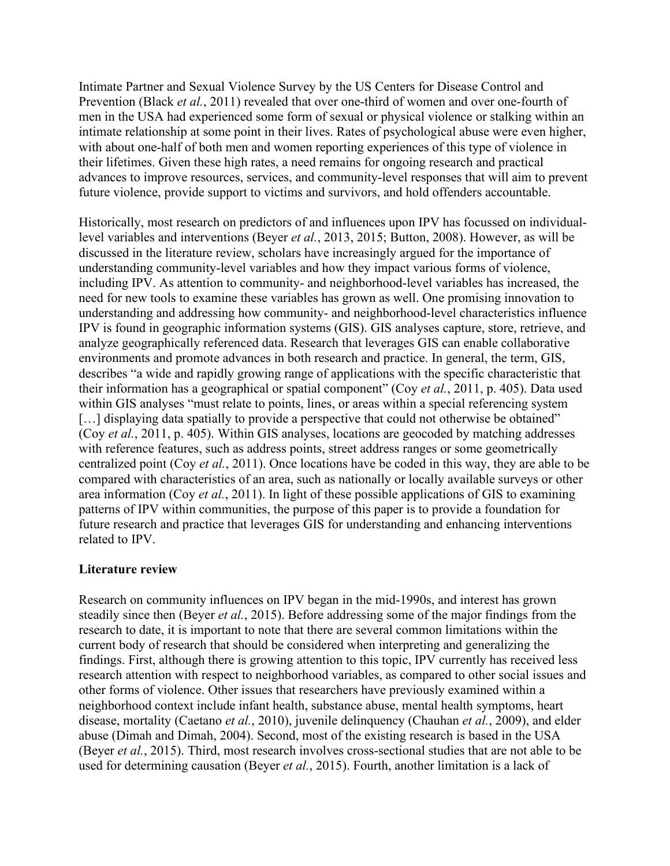Intimate Partner and Sexual Violence Survey by the US Centers for Disease Control and Prevention (Black *et al.*, 2011) revealed that over one-third of women and over one-fourth of men in the USA had experienced some form of sexual or physical violence or stalking within an intimate relationship at some point in their lives. Rates of psychological abuse were even higher, with about one-half of both men and women reporting experiences of this type of violence in their lifetimes. Given these high rates, a need remains for ongoing research and practical advances to improve resources, services, and community-level responses that will aim to prevent future violence, provide support to victims and survivors, and hold offenders accountable.

Historically, most research on predictors of and influences upon IPV has focussed on individuallevel variables and interventions (Beyer *et al.*, 2013, 2015; Button, 2008). However, as will be discussed in the literature review, scholars have increasingly argued for the importance of understanding community-level variables and how they impact various forms of violence, including IPV. As attention to community- and neighborhood-level variables has increased, the need for new tools to examine these variables has grown as well. One promising innovation to understanding and addressing how community- and neighborhood-level characteristics influence IPV is found in geographic information systems (GIS). GIS analyses capture, store, retrieve, and analyze geographically referenced data. Research that leverages GIS can enable collaborative environments and promote advances in both research and practice. In general, the term, GIS, describes "a wide and rapidly growing range of applications with the specific characteristic that their information has a geographical or spatial component" (Coy *et al.*, 2011, p. 405). Data used within GIS analyses "must relate to points, lines, or areas within a special referencing system [...] displaying data spatially to provide a perspective that could not otherwise be obtained" (Coy *et al.*, 2011, p. 405). Within GIS analyses, locations are geocoded by matching addresses with reference features, such as address points, street address ranges or some geometrically centralized point (Coy *et al.*, 2011). Once locations have be coded in this way, they are able to be compared with characteristics of an area, such as nationally or locally available surveys or other area information (Coy *et al.*, 2011). In light of these possible applications of GIS to examining patterns of IPV within communities, the purpose of this paper is to provide a foundation for future research and practice that leverages GIS for understanding and enhancing interventions related to IPV.

#### **Literature review**

Research on community influences on IPV began in the mid-1990s, and interest has grown steadily since then (Beyer *et al.*, 2015). Before addressing some of the major findings from the research to date, it is important to note that there are several common limitations within the current body of research that should be considered when interpreting and generalizing the findings. First, although there is growing attention to this topic, IPV currently has received less research attention with respect to neighborhood variables, as compared to other social issues and other forms of violence. Other issues that researchers have previously examined within a neighborhood context include infant health, substance abuse, mental health symptoms, heart disease, mortality (Caetano *et al.*, 2010), juvenile delinquency (Chauhan *et al.*, 2009), and elder abuse (Dimah and Dimah, 2004). Second, most of the existing research is based in the USA (Beyer *et al.*, 2015). Third, most research involves cross-sectional studies that are not able to be used for determining causation (Beyer *et al.*, 2015). Fourth, another limitation is a lack of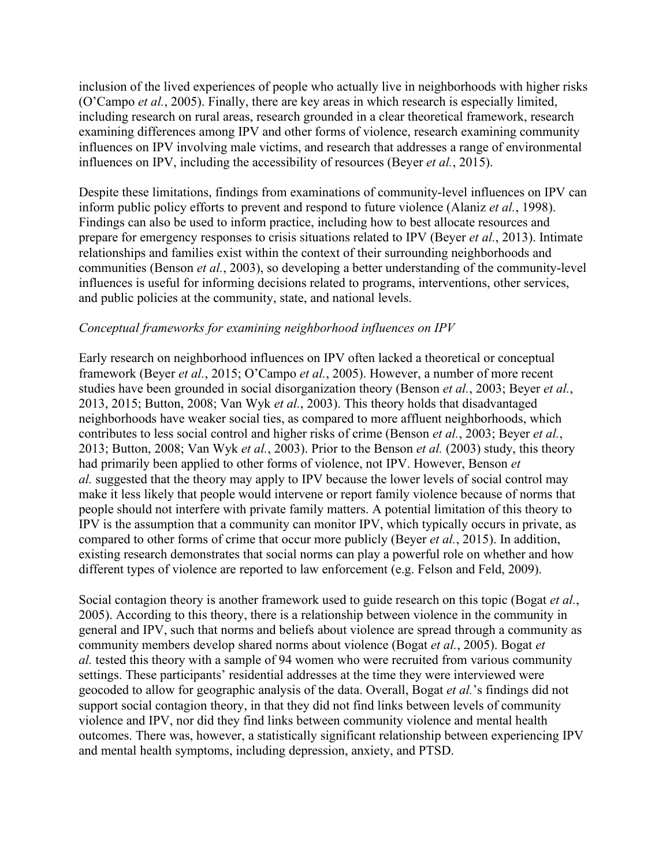inclusion of the lived experiences of people who actually live in neighborhoods with higher risks (O'Campo *et al.*, 2005). Finally, there are key areas in which research is especially limited, including research on rural areas, research grounded in a clear theoretical framework, research examining differences among IPV and other forms of violence, research examining community influences on IPV involving male victims, and research that addresses a range of environmental influences on IPV, including the accessibility of resources (Beyer *et al.*, 2015).

Despite these limitations, findings from examinations of community-level influences on IPV can inform public policy efforts to prevent and respond to future violence (Alaniz *et al.*, 1998). Findings can also be used to inform practice, including how to best allocate resources and prepare for emergency responses to crisis situations related to IPV (Beyer *et al.*, 2013). Intimate relationships and families exist within the context of their surrounding neighborhoods and communities (Benson *et al.*, 2003), so developing a better understanding of the community-level influences is useful for informing decisions related to programs, interventions, other services, and public policies at the community, state, and national levels.

#### *Conceptual frameworks for examining neighborhood influences on IPV*

Early research on neighborhood influences on IPV often lacked a theoretical or conceptual framework (Beyer *et al.*, 2015; O'Campo *et al.*, 2005). However, a number of more recent studies have been grounded in social disorganization theory (Benson *et al.*, 2003; Beyer *et al.*, 2013, 2015; Button, 2008; Van Wyk *et al.*, 2003). This theory holds that disadvantaged neighborhoods have weaker social ties, as compared to more affluent neighborhoods, which contributes to less social control and higher risks of crime (Benson *et al.*, 2003; Beyer *et al.*, 2013; Button, 2008; Van Wyk *et al.*, 2003). Prior to the Benson *et al.* (2003) study, this theory had primarily been applied to other forms of violence, not IPV. However, Benson *et al.* suggested that the theory may apply to IPV because the lower levels of social control may make it less likely that people would intervene or report family violence because of norms that people should not interfere with private family matters. A potential limitation of this theory to IPV is the assumption that a community can monitor IPV, which typically occurs in private, as compared to other forms of crime that occur more publicly (Beyer *et al.*, 2015). In addition, existing research demonstrates that social norms can play a powerful role on whether and how different types of violence are reported to law enforcement (e.g. Felson and Feld, 2009).

Social contagion theory is another framework used to guide research on this topic (Bogat *et al.*, 2005). According to this theory, there is a relationship between violence in the community in general and IPV, such that norms and beliefs about violence are spread through a community as community members develop shared norms about violence (Bogat *et al.*, 2005). Bogat *et al.* tested this theory with a sample of 94 women who were recruited from various community settings. These participants' residential addresses at the time they were interviewed were geocoded to allow for geographic analysis of the data. Overall, Bogat *et al.*'s findings did not support social contagion theory, in that they did not find links between levels of community violence and IPV, nor did they find links between community violence and mental health outcomes. There was, however, a statistically significant relationship between experiencing IPV and mental health symptoms, including depression, anxiety, and PTSD.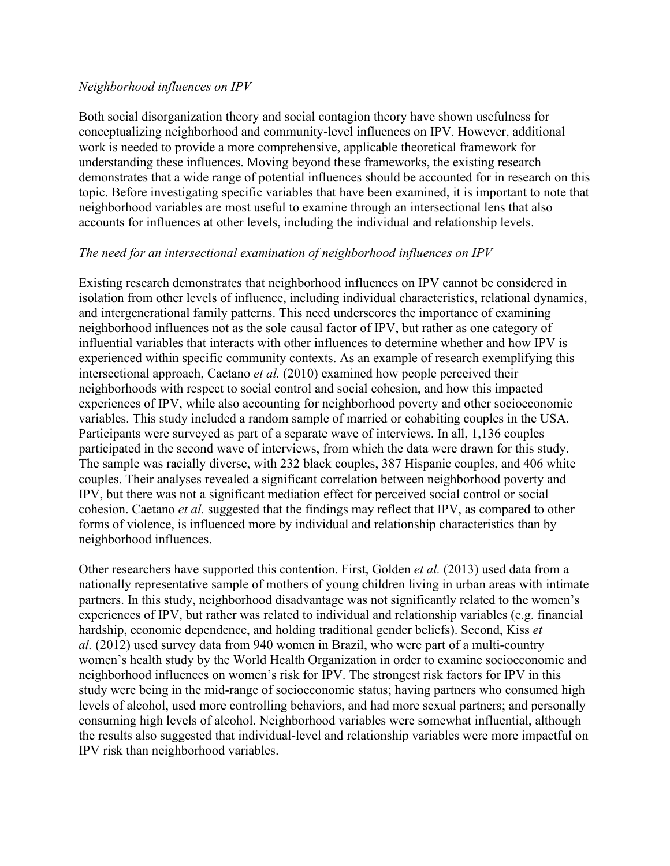#### *Neighborhood influences on IPV*

Both social disorganization theory and social contagion theory have shown usefulness for conceptualizing neighborhood and community-level influences on IPV. However, additional work is needed to provide a more comprehensive, applicable theoretical framework for understanding these influences. Moving beyond these frameworks, the existing research demonstrates that a wide range of potential influences should be accounted for in research on this topic. Before investigating specific variables that have been examined, it is important to note that neighborhood variables are most useful to examine through an intersectional lens that also accounts for influences at other levels, including the individual and relationship levels.

## *The need for an intersectional examination of neighborhood influences on IPV*

Existing research demonstrates that neighborhood influences on IPV cannot be considered in isolation from other levels of influence, including individual characteristics, relational dynamics, and intergenerational family patterns. This need underscores the importance of examining neighborhood influences not as the sole causal factor of IPV, but rather as one category of influential variables that interacts with other influences to determine whether and how IPV is experienced within specific community contexts. As an example of research exemplifying this intersectional approach, Caetano *et al.* (2010) examined how people perceived their neighborhoods with respect to social control and social cohesion, and how this impacted experiences of IPV, while also accounting for neighborhood poverty and other socioeconomic variables. This study included a random sample of married or cohabiting couples in the USA. Participants were surveyed as part of a separate wave of interviews. In all, 1,136 couples participated in the second wave of interviews, from which the data were drawn for this study. The sample was racially diverse, with 232 black couples, 387 Hispanic couples, and 406 white couples. Their analyses revealed a significant correlation between neighborhood poverty and IPV, but there was not a significant mediation effect for perceived social control or social cohesion. Caetano *et al.* suggested that the findings may reflect that IPV, as compared to other forms of violence, is influenced more by individual and relationship characteristics than by neighborhood influences.

Other researchers have supported this contention. First, Golden *et al.* (2013) used data from a nationally representative sample of mothers of young children living in urban areas with intimate partners. In this study, neighborhood disadvantage was not significantly related to the women's experiences of IPV, but rather was related to individual and relationship variables (e.g. financial hardship, economic dependence, and holding traditional gender beliefs). Second, Kiss *et al.* (2012) used survey data from 940 women in Brazil, who were part of a multi-country women's health study by the World Health Organization in order to examine socioeconomic and neighborhood influences on women's risk for IPV. The strongest risk factors for IPV in this study were being in the mid-range of socioeconomic status; having partners who consumed high levels of alcohol, used more controlling behaviors, and had more sexual partners; and personally consuming high levels of alcohol. Neighborhood variables were somewhat influential, although the results also suggested that individual-level and relationship variables were more impactful on IPV risk than neighborhood variables.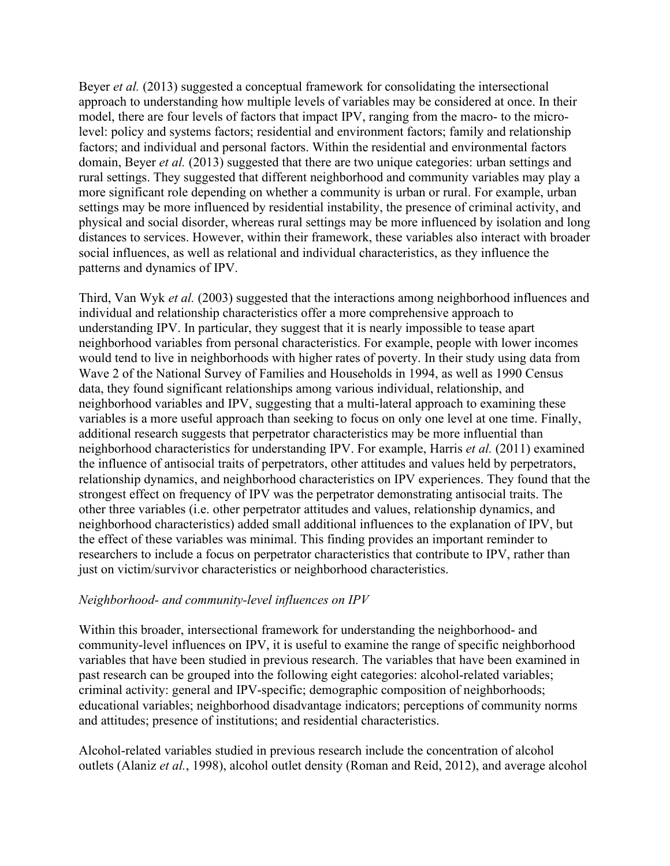Beyer *et al.* (2013) suggested a conceptual framework for consolidating the intersectional approach to understanding how multiple levels of variables may be considered at once. In their model, there are four levels of factors that impact IPV, ranging from the macro- to the microlevel: policy and systems factors; residential and environment factors; family and relationship factors; and individual and personal factors. Within the residential and environmental factors domain, Beyer *et al.* (2013) suggested that there are two unique categories: urban settings and rural settings. They suggested that different neighborhood and community variables may play a more significant role depending on whether a community is urban or rural. For example, urban settings may be more influenced by residential instability, the presence of criminal activity, and physical and social disorder, whereas rural settings may be more influenced by isolation and long distances to services. However, within their framework, these variables also interact with broader social influences, as well as relational and individual characteristics, as they influence the patterns and dynamics of IPV.

Third, Van Wyk *et al.* (2003) suggested that the interactions among neighborhood influences and individual and relationship characteristics offer a more comprehensive approach to understanding IPV. In particular, they suggest that it is nearly impossible to tease apart neighborhood variables from personal characteristics. For example, people with lower incomes would tend to live in neighborhoods with higher rates of poverty. In their study using data from Wave 2 of the National Survey of Families and Households in 1994, as well as 1990 Census data, they found significant relationships among various individual, relationship, and neighborhood variables and IPV, suggesting that a multi-lateral approach to examining these variables is a more useful approach than seeking to focus on only one level at one time. Finally, additional research suggests that perpetrator characteristics may be more influential than neighborhood characteristics for understanding IPV. For example, Harris *et al.* (2011) examined the influence of antisocial traits of perpetrators, other attitudes and values held by perpetrators, relationship dynamics, and neighborhood characteristics on IPV experiences. They found that the strongest effect on frequency of IPV was the perpetrator demonstrating antisocial traits. The other three variables (i.e. other perpetrator attitudes and values, relationship dynamics, and neighborhood characteristics) added small additional influences to the explanation of IPV, but the effect of these variables was minimal. This finding provides an important reminder to researchers to include a focus on perpetrator characteristics that contribute to IPV, rather than just on victim/survivor characteristics or neighborhood characteristics.

#### *Neighborhood- and community-level influences on IPV*

Within this broader, intersectional framework for understanding the neighborhood- and community-level influences on IPV, it is useful to examine the range of specific neighborhood variables that have been studied in previous research. The variables that have been examined in past research can be grouped into the following eight categories: alcohol-related variables; criminal activity: general and IPV-specific; demographic composition of neighborhoods; educational variables; neighborhood disadvantage indicators; perceptions of community norms and attitudes; presence of institutions; and residential characteristics.

Alcohol-related variables studied in previous research include the concentration of alcohol outlets (Alaniz *et al.*, 1998), alcohol outlet density (Roman and Reid, 2012), and average alcohol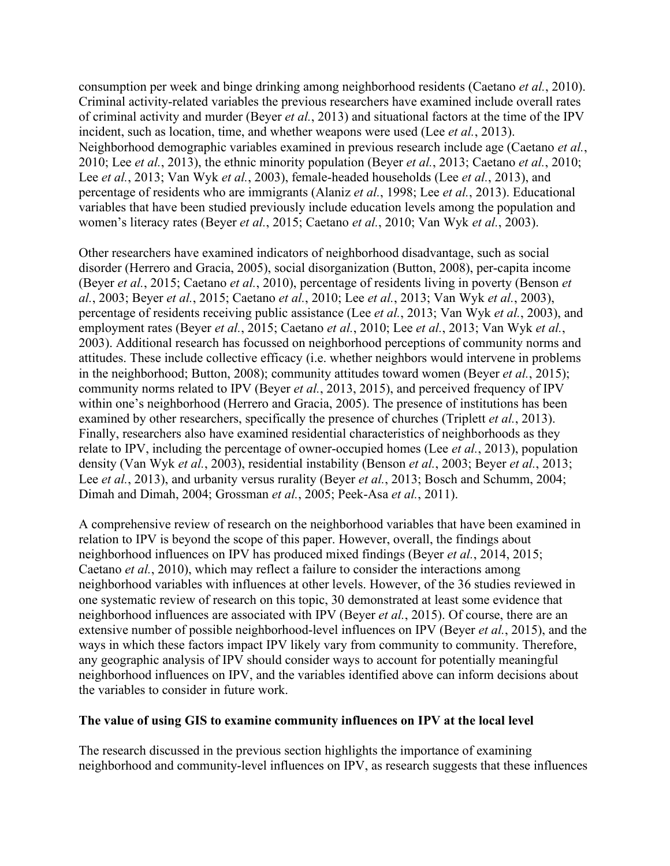consumption per week and binge drinking among neighborhood residents (Caetano *et al.*, 2010). Criminal activity-related variables the previous researchers have examined include overall rates of criminal activity and murder (Beyer *et al.*, 2013) and situational factors at the time of the IPV incident, such as location, time, and whether weapons were used (Lee *et al.*, 2013). Neighborhood demographic variables examined in previous research include age (Caetano *et al.*, 2010; Lee *et al.*, 2013), the ethnic minority population (Beyer *et al.*, 2013; Caetano *et al.*, 2010; Lee *et al.*, 2013; Van Wyk *et al.*, 2003), female-headed households (Lee *et al.*, 2013), and percentage of residents who are immigrants (Alaniz *et al.*, 1998; Lee *et al.*, 2013). Educational variables that have been studied previously include education levels among the population and women's literacy rates (Beyer *et al.*, 2015; Caetano *et al.*, 2010; Van Wyk *et al.*, 2003).

Other researchers have examined indicators of neighborhood disadvantage, such as social disorder (Herrero and Gracia, 2005), social disorganization (Button, 2008), per-capita income (Beyer *et al.*, 2015; Caetano *et al.*, 2010), percentage of residents living in poverty (Benson *et al.*, 2003; Beyer *et al.*, 2015; Caetano *et al.*, 2010; Lee *et al.*, 2013; Van Wyk *et al.*, 2003), percentage of residents receiving public assistance (Lee *et al.*, 2013; Van Wyk *et al.*, 2003), and employment rates (Beyer *et al.*, 2015; Caetano *et al.*, 2010; Lee *et al.*, 2013; Van Wyk *et al.*, 2003). Additional research has focussed on neighborhood perceptions of community norms and attitudes. These include collective efficacy (i.e. whether neighbors would intervene in problems in the neighborhood; Button, 2008); community attitudes toward women (Beyer *et al.*, 2015); community norms related to IPV (Beyer *et al.*, 2013, 2015), and perceived frequency of IPV within one's neighborhood (Herrero and Gracia, 2005). The presence of institutions has been examined by other researchers, specifically the presence of churches (Triplett *et al.*, 2013). Finally, researchers also have examined residential characteristics of neighborhoods as they relate to IPV, including the percentage of owner-occupied homes (Lee *et al.*, 2013), population density (Van Wyk *et al.*, 2003), residential instability (Benson *et al.*, 2003; Beyer *et al.*, 2013; Lee *et al.*, 2013), and urbanity versus rurality (Beyer *et al.*, 2013; Bosch and Schumm, 2004; Dimah and Dimah, 2004; Grossman *et al.*, 2005; Peek-Asa *et al.*, 2011).

A comprehensive review of research on the neighborhood variables that have been examined in relation to IPV is beyond the scope of this paper. However, overall, the findings about neighborhood influences on IPV has produced mixed findings (Beyer *et al.*, 2014, 2015; Caetano *et al.*, 2010), which may reflect a failure to consider the interactions among neighborhood variables with influences at other levels. However, of the 36 studies reviewed in one systematic review of research on this topic, 30 demonstrated at least some evidence that neighborhood influences are associated with IPV (Beyer *et al.*, 2015). Of course, there are an extensive number of possible neighborhood-level influences on IPV (Beyer *et al.*, 2015), and the ways in which these factors impact IPV likely vary from community to community. Therefore, any geographic analysis of IPV should consider ways to account for potentially meaningful neighborhood influences on IPV, and the variables identified above can inform decisions about the variables to consider in future work.

#### **The value of using GIS to examine community influences on IPV at the local level**

The research discussed in the previous section highlights the importance of examining neighborhood and community-level influences on IPV, as research suggests that these influences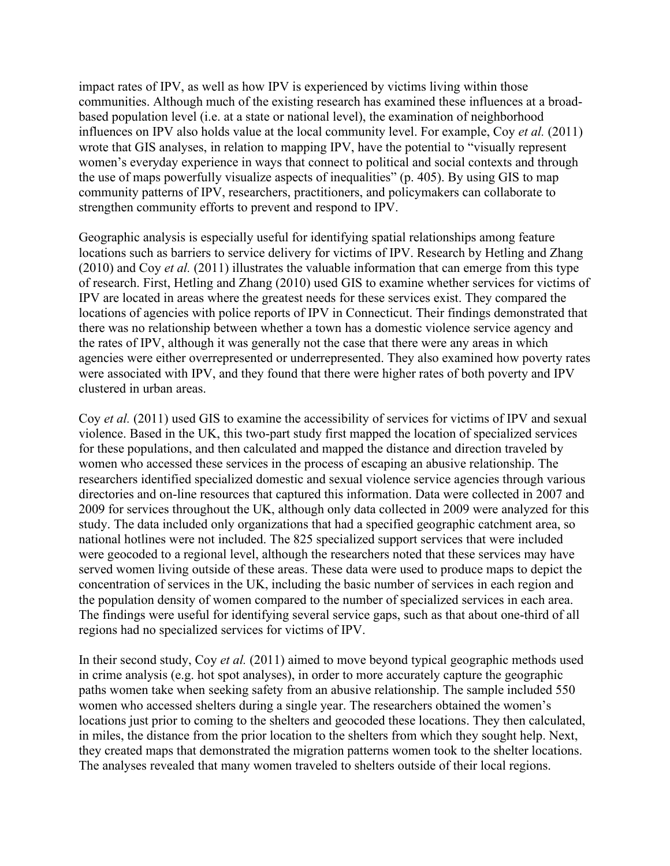impact rates of IPV, as well as how IPV is experienced by victims living within those communities. Although much of the existing research has examined these influences at a broadbased population level (i.e. at a state or national level), the examination of neighborhood influences on IPV also holds value at the local community level. For example, Coy *et al.* (2011) wrote that GIS analyses, in relation to mapping IPV, have the potential to "visually represent women's everyday experience in ways that connect to political and social contexts and through the use of maps powerfully visualize aspects of inequalities" (p. 405). By using GIS to map community patterns of IPV, researchers, practitioners, and policymakers can collaborate to strengthen community efforts to prevent and respond to IPV.

Geographic analysis is especially useful for identifying spatial relationships among feature locations such as barriers to service delivery for victims of IPV. Research by Hetling and Zhang (2010) and Coy *et al.* (2011) illustrates the valuable information that can emerge from this type of research. First, Hetling and Zhang (2010) used GIS to examine whether services for victims of IPV are located in areas where the greatest needs for these services exist. They compared the locations of agencies with police reports of IPV in Connecticut. Their findings demonstrated that there was no relationship between whether a town has a domestic violence service agency and the rates of IPV, although it was generally not the case that there were any areas in which agencies were either overrepresented or underrepresented. They also examined how poverty rates were associated with IPV, and they found that there were higher rates of both poverty and IPV clustered in urban areas.

Coy *et al.* (2011) used GIS to examine the accessibility of services for victims of IPV and sexual violence. Based in the UK, this two-part study first mapped the location of specialized services for these populations, and then calculated and mapped the distance and direction traveled by women who accessed these services in the process of escaping an abusive relationship. The researchers identified specialized domestic and sexual violence service agencies through various directories and on-line resources that captured this information. Data were collected in 2007 and 2009 for services throughout the UK, although only data collected in 2009 were analyzed for this study. The data included only organizations that had a specified geographic catchment area, so national hotlines were not included. The 825 specialized support services that were included were geocoded to a regional level, although the researchers noted that these services may have served women living outside of these areas. These data were used to produce maps to depict the concentration of services in the UK, including the basic number of services in each region and the population density of women compared to the number of specialized services in each area. The findings were useful for identifying several service gaps, such as that about one-third of all regions had no specialized services for victims of IPV.

In their second study, Coy *et al.* (2011) aimed to move beyond typical geographic methods used in crime analysis (e.g. hot spot analyses), in order to more accurately capture the geographic paths women take when seeking safety from an abusive relationship. The sample included 550 women who accessed shelters during a single year. The researchers obtained the women's locations just prior to coming to the shelters and geocoded these locations. They then calculated, in miles, the distance from the prior location to the shelters from which they sought help. Next, they created maps that demonstrated the migration patterns women took to the shelter locations. The analyses revealed that many women traveled to shelters outside of their local regions.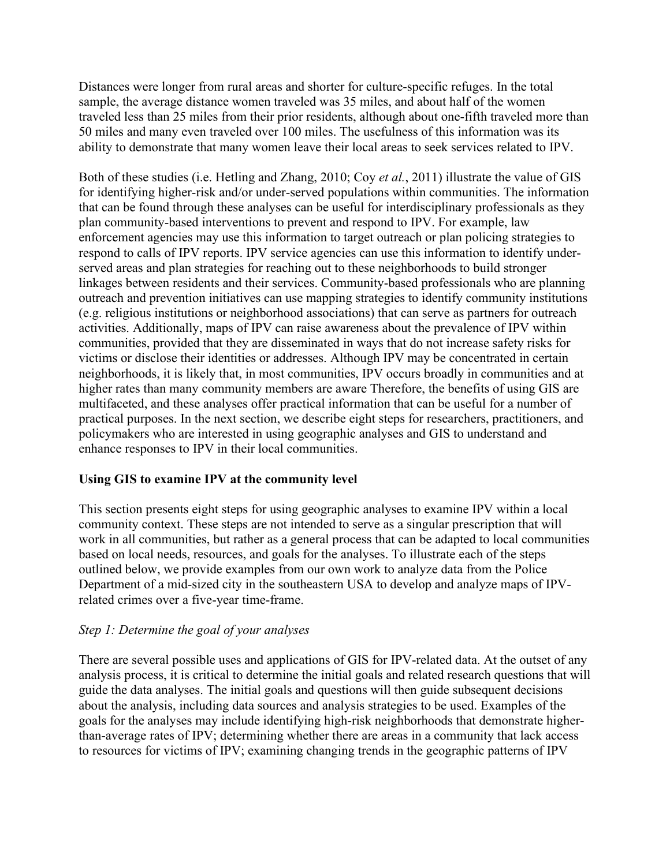Distances were longer from rural areas and shorter for culture-specific refuges. In the total sample, the average distance women traveled was 35 miles, and about half of the women traveled less than 25 miles from their prior residents, although about one-fifth traveled more than 50 miles and many even traveled over 100 miles. The usefulness of this information was its ability to demonstrate that many women leave their local areas to seek services related to IPV.

Both of these studies (i.e. Hetling and Zhang, 2010; Coy *et al.*, 2011) illustrate the value of GIS for identifying higher-risk and/or under-served populations within communities. The information that can be found through these analyses can be useful for interdisciplinary professionals as they plan community-based interventions to prevent and respond to IPV. For example, law enforcement agencies may use this information to target outreach or plan policing strategies to respond to calls of IPV reports. IPV service agencies can use this information to identify underserved areas and plan strategies for reaching out to these neighborhoods to build stronger linkages between residents and their services. Community-based professionals who are planning outreach and prevention initiatives can use mapping strategies to identify community institutions (e.g. religious institutions or neighborhood associations) that can serve as partners for outreach activities. Additionally, maps of IPV can raise awareness about the prevalence of IPV within communities, provided that they are disseminated in ways that do not increase safety risks for victims or disclose their identities or addresses. Although IPV may be concentrated in certain neighborhoods, it is likely that, in most communities, IPV occurs broadly in communities and at higher rates than many community members are aware Therefore, the benefits of using GIS are multifaceted, and these analyses offer practical information that can be useful for a number of practical purposes. In the next section, we describe eight steps for researchers, practitioners, and policymakers who are interested in using geographic analyses and GIS to understand and enhance responses to IPV in their local communities.

## **Using GIS to examine IPV at the community level**

This section presents eight steps for using geographic analyses to examine IPV within a local community context. These steps are not intended to serve as a singular prescription that will work in all communities, but rather as a general process that can be adapted to local communities based on local needs, resources, and goals for the analyses. To illustrate each of the steps outlined below, we provide examples from our own work to analyze data from the Police Department of a mid-sized city in the southeastern USA to develop and analyze maps of IPVrelated crimes over a five-year time-frame.

#### *Step 1: Determine the goal of your analyses*

There are several possible uses and applications of GIS for IPV-related data. At the outset of any analysis process, it is critical to determine the initial goals and related research questions that will guide the data analyses. The initial goals and questions will then guide subsequent decisions about the analysis, including data sources and analysis strategies to be used. Examples of the goals for the analyses may include identifying high-risk neighborhoods that demonstrate higherthan-average rates of IPV; determining whether there are areas in a community that lack access to resources for victims of IPV; examining changing trends in the geographic patterns of IPV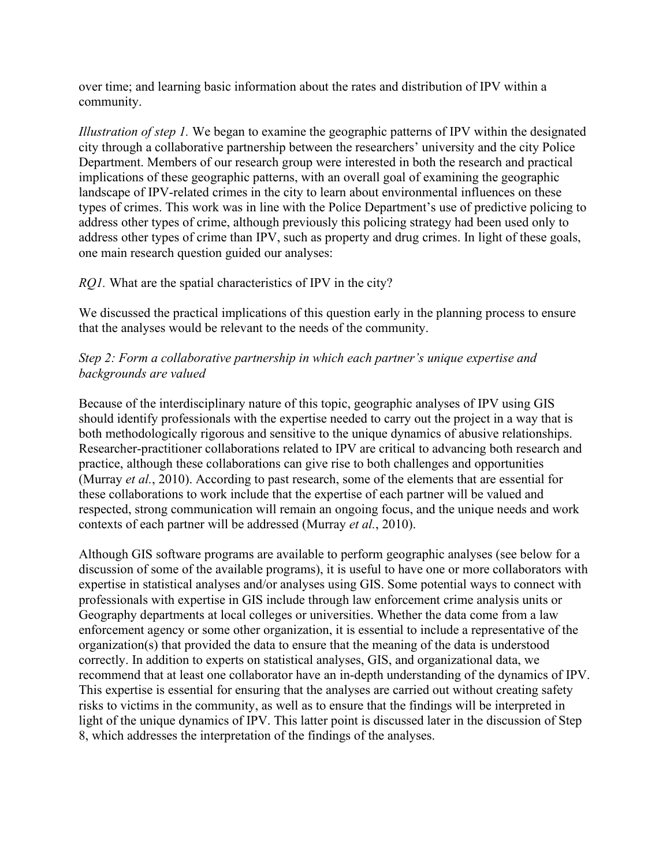over time; and learning basic information about the rates and distribution of IPV within a community.

*Illustration of step 1.* We began to examine the geographic patterns of IPV within the designated city through a collaborative partnership between the researchers' university and the city Police Department. Members of our research group were interested in both the research and practical implications of these geographic patterns, with an overall goal of examining the geographic landscape of IPV-related crimes in the city to learn about environmental influences on these types of crimes. This work was in line with the Police Department's use of predictive policing to address other types of crime, although previously this policing strategy had been used only to address other types of crime than IPV, such as property and drug crimes. In light of these goals, one main research question guided our analyses:

## *RQ1.* What are the spatial characteristics of IPV in the city?

We discussed the practical implications of this question early in the planning process to ensure that the analyses would be relevant to the needs of the community.

#### *Step 2: Form a collaborative partnership in which each partner's unique expertise and backgrounds are valued*

Because of the interdisciplinary nature of this topic, geographic analyses of IPV using GIS should identify professionals with the expertise needed to carry out the project in a way that is both methodologically rigorous and sensitive to the unique dynamics of abusive relationships. Researcher-practitioner collaborations related to IPV are critical to advancing both research and practice, although these collaborations can give rise to both challenges and opportunities (Murray *et al.*, 2010). According to past research, some of the elements that are essential for these collaborations to work include that the expertise of each partner will be valued and respected, strong communication will remain an ongoing focus, and the unique needs and work contexts of each partner will be addressed (Murray *et al.*, 2010).

Although GIS software programs are available to perform geographic analyses (see below for a discussion of some of the available programs), it is useful to have one or more collaborators with expertise in statistical analyses and/or analyses using GIS. Some potential ways to connect with professionals with expertise in GIS include through law enforcement crime analysis units or Geography departments at local colleges or universities. Whether the data come from a law enforcement agency or some other organization, it is essential to include a representative of the organization(s) that provided the data to ensure that the meaning of the data is understood correctly. In addition to experts on statistical analyses, GIS, and organizational data, we recommend that at least one collaborator have an in-depth understanding of the dynamics of IPV. This expertise is essential for ensuring that the analyses are carried out without creating safety risks to victims in the community, as well as to ensure that the findings will be interpreted in light of the unique dynamics of IPV. This latter point is discussed later in the discussion of Step 8, which addresses the interpretation of the findings of the analyses.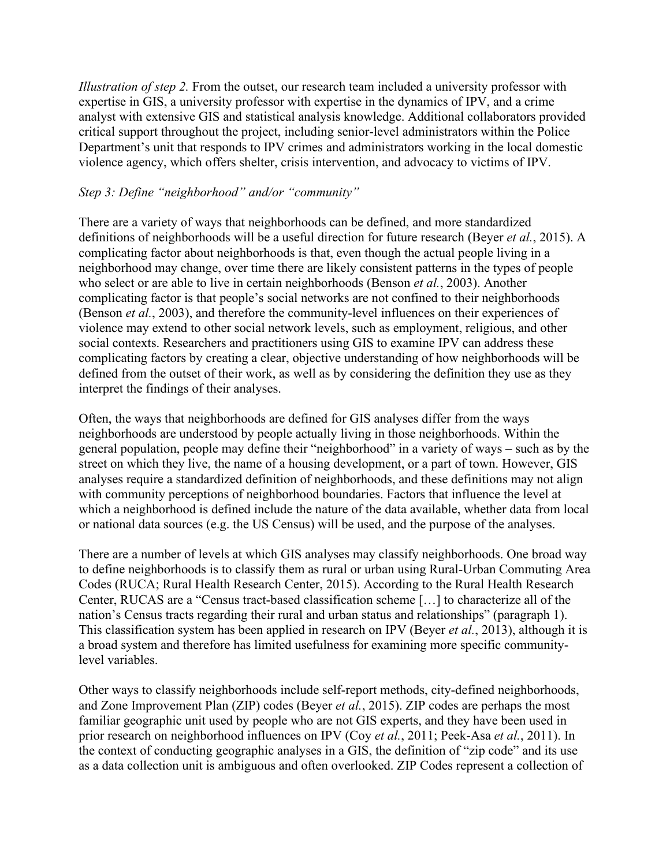*Illustration of step 2.* From the outset, our research team included a university professor with expertise in GIS, a university professor with expertise in the dynamics of IPV, and a crime analyst with extensive GIS and statistical analysis knowledge. Additional collaborators provided critical support throughout the project, including senior-level administrators within the Police Department's unit that responds to IPV crimes and administrators working in the local domestic violence agency, which offers shelter, crisis intervention, and advocacy to victims of IPV.

## *Step 3: Define "neighborhood" and/or "community"*

There are a variety of ways that neighborhoods can be defined, and more standardized definitions of neighborhoods will be a useful direction for future research (Beyer *et al.*, 2015). A complicating factor about neighborhoods is that, even though the actual people living in a neighborhood may change, over time there are likely consistent patterns in the types of people who select or are able to live in certain neighborhoods (Benson *et al.*, 2003). Another complicating factor is that people's social networks are not confined to their neighborhoods (Benson *et al.*, 2003), and therefore the community-level influences on their experiences of violence may extend to other social network levels, such as employment, religious, and other social contexts. Researchers and practitioners using GIS to examine IPV can address these complicating factors by creating a clear, objective understanding of how neighborhoods will be defined from the outset of their work, as well as by considering the definition they use as they interpret the findings of their analyses.

Often, the ways that neighborhoods are defined for GIS analyses differ from the ways neighborhoods are understood by people actually living in those neighborhoods. Within the general population, people may define their "neighborhood" in a variety of ways – such as by the street on which they live, the name of a housing development, or a part of town. However, GIS analyses require a standardized definition of neighborhoods, and these definitions may not align with community perceptions of neighborhood boundaries. Factors that influence the level at which a neighborhood is defined include the nature of the data available, whether data from local or national data sources (e.g. the US Census) will be used, and the purpose of the analyses.

There are a number of levels at which GIS analyses may classify neighborhoods. One broad way to define neighborhoods is to classify them as rural or urban using Rural-Urban Commuting Area Codes (RUCA; Rural Health Research Center, 2015). According to the Rural Health Research Center, RUCAS are a "Census tract-based classification scheme […] to characterize all of the nation's Census tracts regarding their rural and urban status and relationships" (paragraph 1). This classification system has been applied in research on IPV (Beyer *et al.*, 2013), although it is a broad system and therefore has limited usefulness for examining more specific communitylevel variables.

Other ways to classify neighborhoods include self-report methods, city-defined neighborhoods, and Zone Improvement Plan (ZIP) codes (Beyer *et al.*, 2015). ZIP codes are perhaps the most familiar geographic unit used by people who are not GIS experts, and they have been used in prior research on neighborhood influences on IPV (Coy *et al.*, 2011; Peek-Asa *et al.*, 2011). In the context of conducting geographic analyses in a GIS, the definition of "zip code" and its use as a data collection unit is ambiguous and often overlooked. ZIP Codes represent a collection of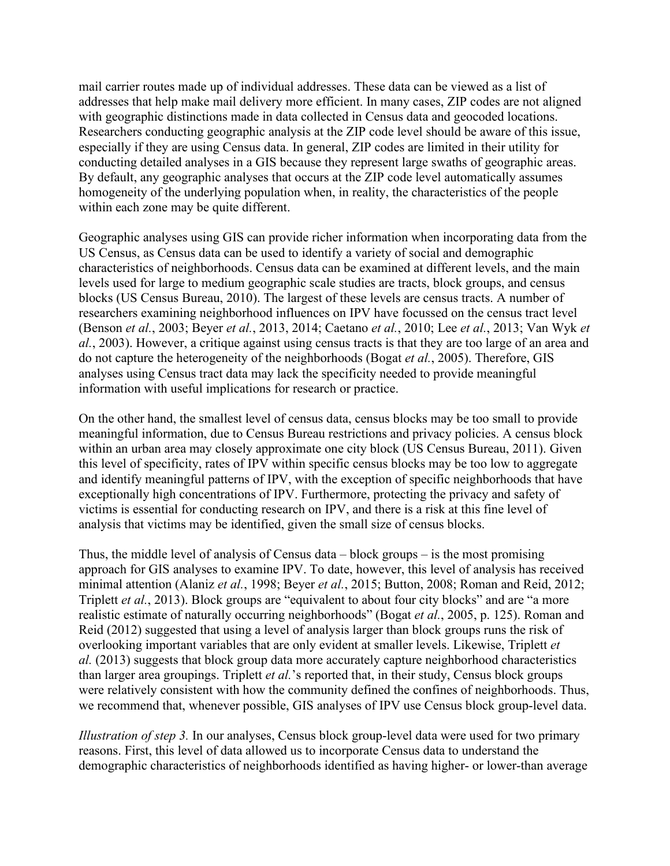mail carrier routes made up of individual addresses. These data can be viewed as a list of addresses that help make mail delivery more efficient. In many cases, ZIP codes are not aligned with geographic distinctions made in data collected in Census data and geocoded locations. Researchers conducting geographic analysis at the ZIP code level should be aware of this issue, especially if they are using Census data. In general, ZIP codes are limited in their utility for conducting detailed analyses in a GIS because they represent large swaths of geographic areas. By default, any geographic analyses that occurs at the ZIP code level automatically assumes homogeneity of the underlying population when, in reality, the characteristics of the people within each zone may be quite different.

Geographic analyses using GIS can provide richer information when incorporating data from the US Census, as Census data can be used to identify a variety of social and demographic characteristics of neighborhoods. Census data can be examined at different levels, and the main levels used for large to medium geographic scale studies are tracts, block groups, and census blocks (US Census Bureau, 2010). The largest of these levels are census tracts. A number of researchers examining neighborhood influences on IPV have focussed on the census tract level (Benson *et al.*, 2003; Beyer *et al.*, 2013, 2014; Caetano *et al.*, 2010; Lee *et al.*, 2013; Van Wyk *et al.*, 2003). However, a critique against using census tracts is that they are too large of an area and do not capture the heterogeneity of the neighborhoods (Bogat *et al.*, 2005). Therefore, GIS analyses using Census tract data may lack the specificity needed to provide meaningful information with useful implications for research or practice.

On the other hand, the smallest level of census data, census blocks may be too small to provide meaningful information, due to Census Bureau restrictions and privacy policies. A census block within an urban area may closely approximate one city block (US Census Bureau, 2011). Given this level of specificity, rates of IPV within specific census blocks may be too low to aggregate and identify meaningful patterns of IPV, with the exception of specific neighborhoods that have exceptionally high concentrations of IPV. Furthermore, protecting the privacy and safety of victims is essential for conducting research on IPV, and there is a risk at this fine level of analysis that victims may be identified, given the small size of census blocks.

Thus, the middle level of analysis of Census data – block groups – is the most promising approach for GIS analyses to examine IPV. To date, however, this level of analysis has received minimal attention (Alaniz *et al.*, 1998; Beyer *et al.*, 2015; Button, 2008; Roman and Reid, 2012; Triplett *et al.*, 2013). Block groups are "equivalent to about four city blocks" and are "a more realistic estimate of naturally occurring neighborhoods" (Bogat *et al.*, 2005, p. 125). Roman and Reid (2012) suggested that using a level of analysis larger than block groups runs the risk of overlooking important variables that are only evident at smaller levels. Likewise, Triplett *et al.* (2013) suggests that block group data more accurately capture neighborhood characteristics than larger area groupings. Triplett *et al.*'s reported that, in their study, Census block groups were relatively consistent with how the community defined the confines of neighborhoods. Thus, we recommend that, whenever possible, GIS analyses of IPV use Census block group-level data.

*Illustration of step 3.* In our analyses, Census block group-level data were used for two primary reasons. First, this level of data allowed us to incorporate Census data to understand the demographic characteristics of neighborhoods identified as having higher- or lower-than average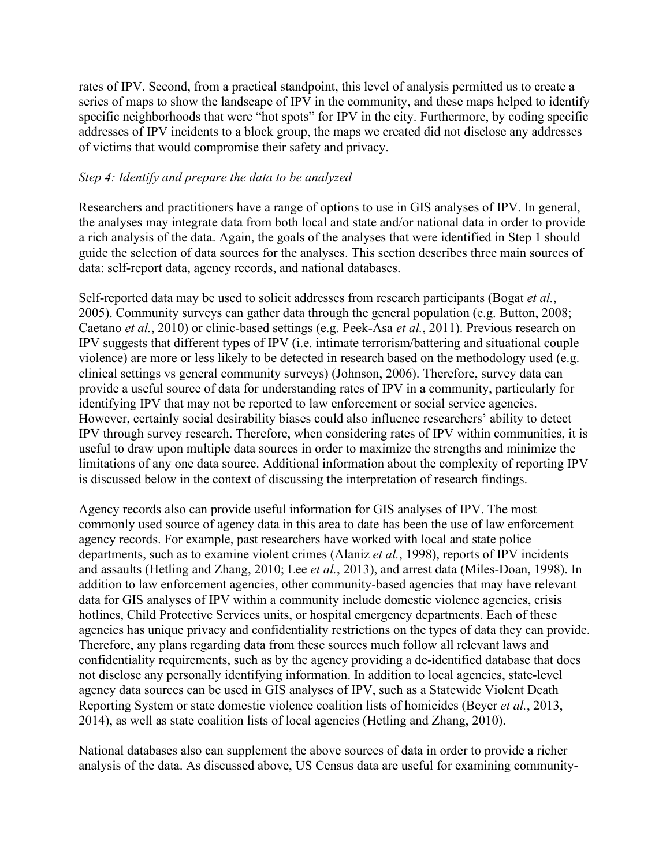rates of IPV. Second, from a practical standpoint, this level of analysis permitted us to create a series of maps to show the landscape of IPV in the community, and these maps helped to identify specific neighborhoods that were "hot spots" for IPV in the city. Furthermore, by coding specific addresses of IPV incidents to a block group, the maps we created did not disclose any addresses of victims that would compromise their safety and privacy.

#### *Step 4: Identify and prepare the data to be analyzed*

Researchers and practitioners have a range of options to use in GIS analyses of IPV. In general, the analyses may integrate data from both local and state and/or national data in order to provide a rich analysis of the data. Again, the goals of the analyses that were identified in Step 1 should guide the selection of data sources for the analyses. This section describes three main sources of data: self-report data, agency records, and national databases.

Self-reported data may be used to solicit addresses from research participants (Bogat *et al.*, 2005). Community surveys can gather data through the general population (e.g. Button, 2008; Caetano *et al.*, 2010) or clinic-based settings (e.g. Peek-Asa *et al.*, 2011). Previous research on IPV suggests that different types of IPV (i.e. intimate terrorism/battering and situational couple violence) are more or less likely to be detected in research based on the methodology used (e.g. clinical settings vs general community surveys) (Johnson, 2006). Therefore, survey data can provide a useful source of data for understanding rates of IPV in a community, particularly for identifying IPV that may not be reported to law enforcement or social service agencies. However, certainly social desirability biases could also influence researchers' ability to detect IPV through survey research. Therefore, when considering rates of IPV within communities, it is useful to draw upon multiple data sources in order to maximize the strengths and minimize the limitations of any one data source. Additional information about the complexity of reporting IPV is discussed below in the context of discussing the interpretation of research findings.

Agency records also can provide useful information for GIS analyses of IPV. The most commonly used source of agency data in this area to date has been the use of law enforcement agency records. For example, past researchers have worked with local and state police departments, such as to examine violent crimes (Alaniz *et al.*, 1998), reports of IPV incidents and assaults (Hetling and Zhang, 2010; Lee *et al.*, 2013), and arrest data (Miles-Doan, 1998). In addition to law enforcement agencies, other community-based agencies that may have relevant data for GIS analyses of IPV within a community include domestic violence agencies, crisis hotlines, Child Protective Services units, or hospital emergency departments. Each of these agencies has unique privacy and confidentiality restrictions on the types of data they can provide. Therefore, any plans regarding data from these sources much follow all relevant laws and confidentiality requirements, such as by the agency providing a de-identified database that does not disclose any personally identifying information. In addition to local agencies, state-level agency data sources can be used in GIS analyses of IPV, such as a Statewide Violent Death Reporting System or state domestic violence coalition lists of homicides (Beyer *et al.*, 2013, 2014), as well as state coalition lists of local agencies (Hetling and Zhang, 2010).

National databases also can supplement the above sources of data in order to provide a richer analysis of the data. As discussed above, US Census data are useful for examining community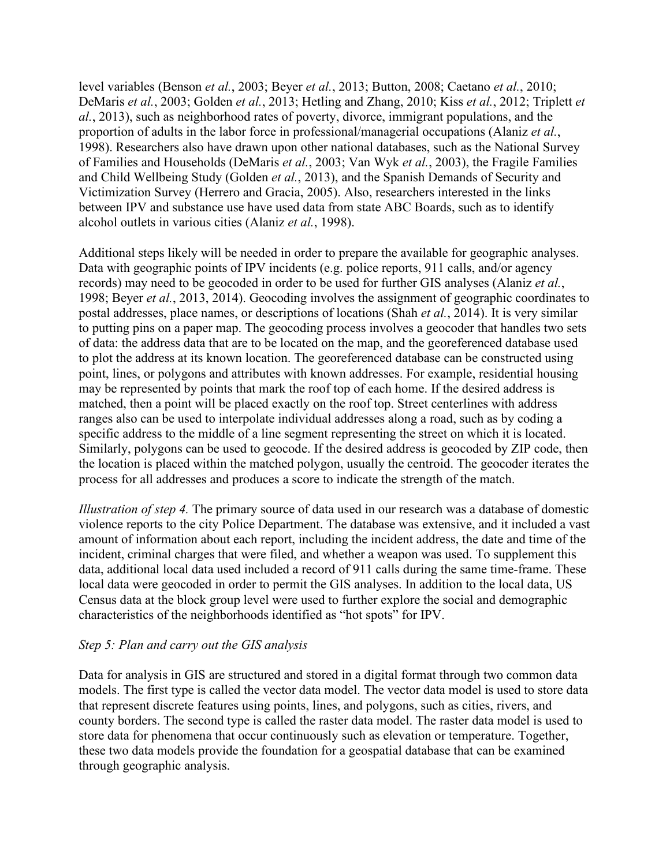level variables (Benson *et al.*, 2003; Beyer *et al.*, 2013; Button, 2008; Caetano *et al.*, 2010; DeMaris *et al.*, 2003; Golden *et al.*, 2013; Hetling and Zhang, 2010; Kiss *et al.*, 2012; Triplett *et al.*, 2013), such as neighborhood rates of poverty, divorce, immigrant populations, and the proportion of adults in the labor force in professional/managerial occupations (Alaniz *et al.*, 1998). Researchers also have drawn upon other national databases, such as the National Survey of Families and Households (DeMaris *et al.*, 2003; Van Wyk *et al.*, 2003), the Fragile Families and Child Wellbeing Study (Golden *et al.*, 2013), and the Spanish Demands of Security and Victimization Survey (Herrero and Gracia, 2005). Also, researchers interested in the links between IPV and substance use have used data from state ABC Boards, such as to identify alcohol outlets in various cities (Alaniz *et al.*, 1998).

Additional steps likely will be needed in order to prepare the available for geographic analyses. Data with geographic points of IPV incidents (e.g. police reports, 911 calls, and/or agency records) may need to be geocoded in order to be used for further GIS analyses (Alaniz *et al.*, 1998; Beyer *et al.*, 2013, 2014). Geocoding involves the assignment of geographic coordinates to postal addresses, place names, or descriptions of locations (Shah *et al.*, 2014). It is very similar to putting pins on a paper map. The geocoding process involves a geocoder that handles two sets of data: the address data that are to be located on the map, and the georeferenced database used to plot the address at its known location. The georeferenced database can be constructed using point, lines, or polygons and attributes with known addresses. For example, residential housing may be represented by points that mark the roof top of each home. If the desired address is matched, then a point will be placed exactly on the roof top. Street centerlines with address ranges also can be used to interpolate individual addresses along a road, such as by coding a specific address to the middle of a line segment representing the street on which it is located. Similarly, polygons can be used to geocode. If the desired address is geocoded by ZIP code, then the location is placed within the matched polygon, usually the centroid. The geocoder iterates the process for all addresses and produces a score to indicate the strength of the match.

*Illustration of step 4.* The primary source of data used in our research was a database of domestic violence reports to the city Police Department. The database was extensive, and it included a vast amount of information about each report, including the incident address, the date and time of the incident, criminal charges that were filed, and whether a weapon was used. To supplement this data, additional local data used included a record of 911 calls during the same time-frame. These local data were geocoded in order to permit the GIS analyses. In addition to the local data, US Census data at the block group level were used to further explore the social and demographic characteristics of the neighborhoods identified as "hot spots" for IPV.

## *Step 5: Plan and carry out the GIS analysis*

Data for analysis in GIS are structured and stored in a digital format through two common data models. The first type is called the vector data model. The vector data model is used to store data that represent discrete features using points, lines, and polygons, such as cities, rivers, and county borders. The second type is called the raster data model. The raster data model is used to store data for phenomena that occur continuously such as elevation or temperature. Together, these two data models provide the foundation for a geospatial database that can be examined through geographic analysis.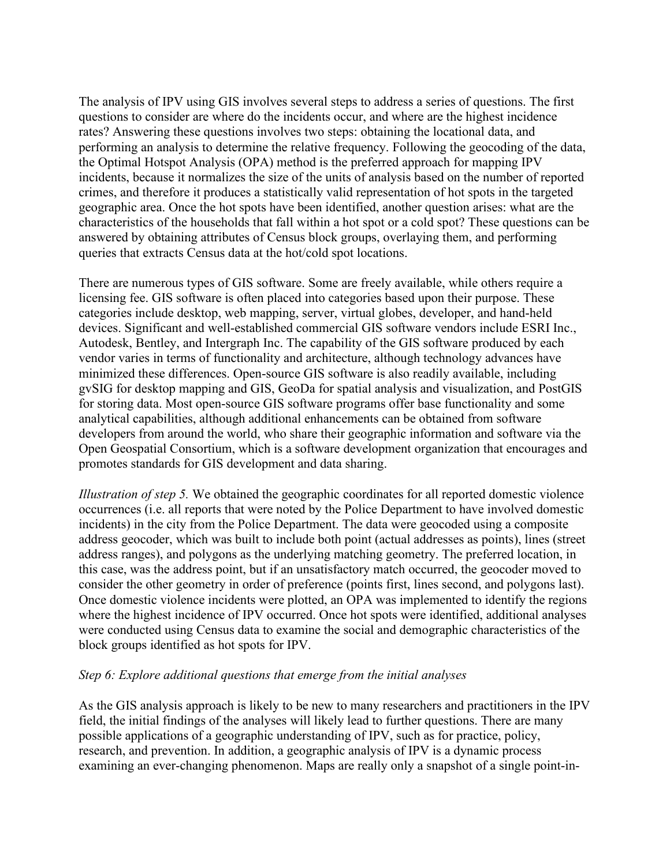The analysis of IPV using GIS involves several steps to address a series of questions. The first questions to consider are where do the incidents occur, and where are the highest incidence rates? Answering these questions involves two steps: obtaining the locational data, and performing an analysis to determine the relative frequency. Following the geocoding of the data, the Optimal Hotspot Analysis (OPA) method is the preferred approach for mapping IPV incidents, because it normalizes the size of the units of analysis based on the number of reported crimes, and therefore it produces a statistically valid representation of hot spots in the targeted geographic area. Once the hot spots have been identified, another question arises: what are the characteristics of the households that fall within a hot spot or a cold spot? These questions can be answered by obtaining attributes of Census block groups, overlaying them, and performing queries that extracts Census data at the hot/cold spot locations.

There are numerous types of GIS software. Some are freely available, while others require a licensing fee. GIS software is often placed into categories based upon their purpose. These categories include desktop, web mapping, server, virtual globes, developer, and hand-held devices. Significant and well-established commercial GIS software vendors include ESRI Inc., Autodesk, Bentley, and Intergraph Inc. The capability of the GIS software produced by each vendor varies in terms of functionality and architecture, although technology advances have minimized these differences. Open-source GIS software is also readily available, including gvSIG for desktop mapping and GIS, GeoDa for spatial analysis and visualization, and PostGIS for storing data. Most open-source GIS software programs offer base functionality and some analytical capabilities, although additional enhancements can be obtained from software developers from around the world, who share their geographic information and software via the Open Geospatial Consortium, which is a software development organization that encourages and promotes standards for GIS development and data sharing.

*Illustration of step 5.* We obtained the geographic coordinates for all reported domestic violence occurrences (i.e. all reports that were noted by the Police Department to have involved domestic incidents) in the city from the Police Department. The data were geocoded using a composite address geocoder, which was built to include both point (actual addresses as points), lines (street address ranges), and polygons as the underlying matching geometry. The preferred location, in this case, was the address point, but if an unsatisfactory match occurred, the geocoder moved to consider the other geometry in order of preference (points first, lines second, and polygons last). Once domestic violence incidents were plotted, an OPA was implemented to identify the regions where the highest incidence of IPV occurred. Once hot spots were identified, additional analyses were conducted using Census data to examine the social and demographic characteristics of the block groups identified as hot spots for IPV.

#### *Step 6: Explore additional questions that emerge from the initial analyses*

As the GIS analysis approach is likely to be new to many researchers and practitioners in the IPV field, the initial findings of the analyses will likely lead to further questions. There are many possible applications of a geographic understanding of IPV, such as for practice, policy, research, and prevention. In addition, a geographic analysis of IPV is a dynamic process examining an ever-changing phenomenon. Maps are really only a snapshot of a single point-in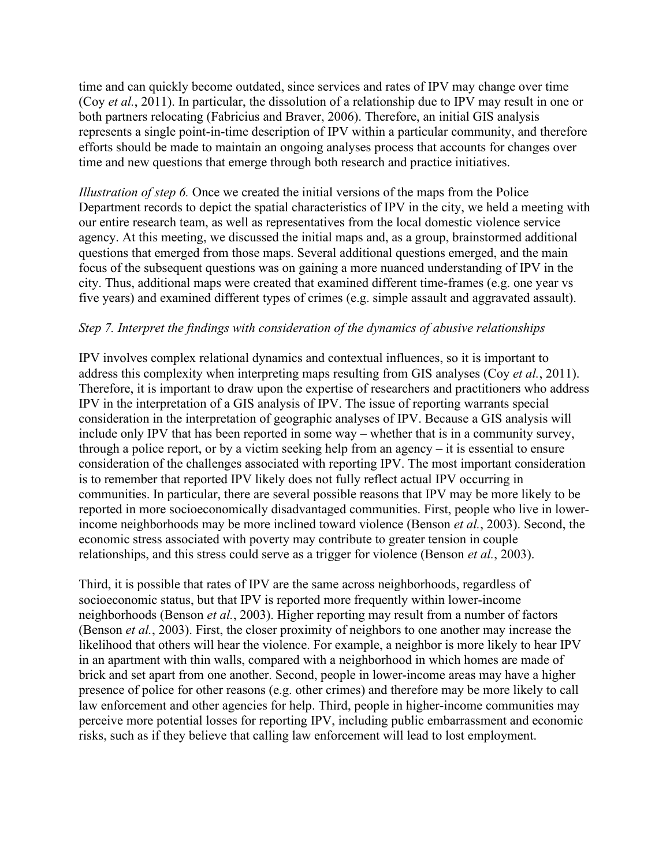time and can quickly become outdated, since services and rates of IPV may change over time (Coy *et al.*, 2011). In particular, the dissolution of a relationship due to IPV may result in one or both partners relocating (Fabricius and Braver, 2006). Therefore, an initial GIS analysis represents a single point-in-time description of IPV within a particular community, and therefore efforts should be made to maintain an ongoing analyses process that accounts for changes over time and new questions that emerge through both research and practice initiatives.

*Illustration of step 6.* Once we created the initial versions of the maps from the Police Department records to depict the spatial characteristics of IPV in the city, we held a meeting with our entire research team, as well as representatives from the local domestic violence service agency. At this meeting, we discussed the initial maps and, as a group, brainstormed additional questions that emerged from those maps. Several additional questions emerged, and the main focus of the subsequent questions was on gaining a more nuanced understanding of IPV in the city. Thus, additional maps were created that examined different time-frames (e.g. one year vs five years) and examined different types of crimes (e.g. simple assault and aggravated assault).

#### *Step 7. Interpret the findings with consideration of the dynamics of abusive relationships*

IPV involves complex relational dynamics and contextual influences, so it is important to address this complexity when interpreting maps resulting from GIS analyses (Coy *et al.*, 2011). Therefore, it is important to draw upon the expertise of researchers and practitioners who address IPV in the interpretation of a GIS analysis of IPV. The issue of reporting warrants special consideration in the interpretation of geographic analyses of IPV. Because a GIS analysis will include only IPV that has been reported in some way – whether that is in a community survey, through a police report, or by a victim seeking help from an agency – it is essential to ensure consideration of the challenges associated with reporting IPV. The most important consideration is to remember that reported IPV likely does not fully reflect actual IPV occurring in communities. In particular, there are several possible reasons that IPV may be more likely to be reported in more socioeconomically disadvantaged communities. First, people who live in lowerincome neighborhoods may be more inclined toward violence (Benson *et al.*, 2003). Second, the economic stress associated with poverty may contribute to greater tension in couple relationships, and this stress could serve as a trigger for violence (Benson *et al.*, 2003).

Third, it is possible that rates of IPV are the same across neighborhoods, regardless of socioeconomic status, but that IPV is reported more frequently within lower-income neighborhoods (Benson *et al.*, 2003). Higher reporting may result from a number of factors (Benson *et al.*, 2003). First, the closer proximity of neighbors to one another may increase the likelihood that others will hear the violence. For example, a neighbor is more likely to hear IPV in an apartment with thin walls, compared with a neighborhood in which homes are made of brick and set apart from one another. Second, people in lower-income areas may have a higher presence of police for other reasons (e.g. other crimes) and therefore may be more likely to call law enforcement and other agencies for help. Third, people in higher-income communities may perceive more potential losses for reporting IPV, including public embarrassment and economic risks, such as if they believe that calling law enforcement will lead to lost employment.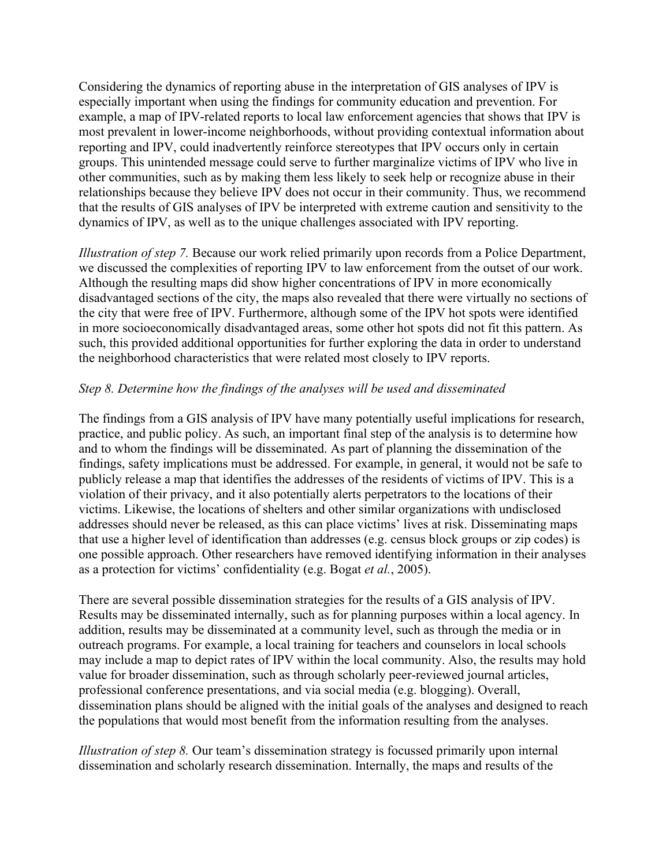Considering the dynamics of reporting abuse in the interpretation of GIS analyses of IPV is especially important when using the findings for community education and prevention. For example, a map of IPV-related reports to local law enforcement agencies that shows that IPV is most prevalent in lower-income neighborhoods, without providing contextual information about reporting and IPV, could inadvertently reinforce stereotypes that IPV occurs only in certain groups. This unintended message could serve to further marginalize victims of IPV who live in other communities, such as by making them less likely to seek help or recognize abuse in their relationships because they believe IPV does not occur in their community. Thus, we recommend that the results of GIS analyses of IPV be interpreted with extreme caution and sensitivity to the dynamics of IPV, as well as to the unique challenges associated with IPV reporting.

*Illustration of step 7.* Because our work relied primarily upon records from a Police Department, we discussed the complexities of reporting IPV to law enforcement from the outset of our work. Although the resulting maps did show higher concentrations of IPV in more economically disadvantaged sections of the city, the maps also revealed that there were virtually no sections of the city that were free of IPV. Furthermore, although some of the IPV hot spots were identified in more socioeconomically disadvantaged areas, some other hot spots did not fit this pattern. As such, this provided additional opportunities for further exploring the data in order to understand the neighborhood characteristics that were related most closely to IPV reports.

## *Step 8. Determine how the findings of the analyses will be used and disseminated*

The findings from a GIS analysis of IPV have many potentially useful implications for research, practice, and public policy. As such, an important final step of the analysis is to determine how and to whom the findings will be disseminated. As part of planning the dissemination of the findings, safety implications must be addressed. For example, in general, it would not be safe to publicly release a map that identifies the addresses of the residents of victims of IPV. This is a violation of their privacy, and it also potentially alerts perpetrators to the locations of their victims. Likewise, the locations of shelters and other similar organizations with undisclosed addresses should never be released, as this can place victims' lives at risk. Disseminating maps that use a higher level of identification than addresses (e.g. census block groups or zip codes) is one possible approach. Other researchers have removed identifying information in their analyses as a protection for victims' confidentiality (e.g. Bogat *et al.*, 2005).

There are several possible dissemination strategies for the results of a GIS analysis of IPV. Results may be disseminated internally, such as for planning purposes within a local agency. In addition, results may be disseminated at a community level, such as through the media or in outreach programs. For example, a local training for teachers and counselors in local schools may include a map to depict rates of IPV within the local community. Also, the results may hold value for broader dissemination, such as through scholarly peer-reviewed journal articles, professional conference presentations, and via social media (e.g. blogging). Overall, dissemination plans should be aligned with the initial goals of the analyses and designed to reach the populations that would most benefit from the information resulting from the analyses.

*Illustration of step 8.* Our team's dissemination strategy is focussed primarily upon internal dissemination and scholarly research dissemination. Internally, the maps and results of the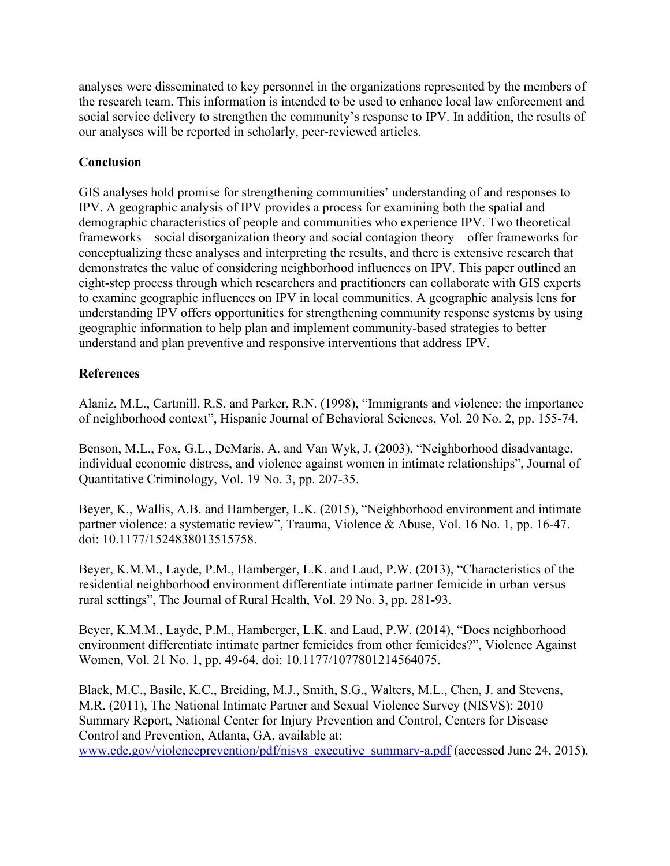analyses were disseminated to key personnel in the organizations represented by the members of the research team. This information is intended to be used to enhance local law enforcement and social service delivery to strengthen the community's response to IPV. In addition, the results of our analyses will be reported in scholarly, peer-reviewed articles.

# **Conclusion**

GIS analyses hold promise for strengthening communities' understanding of and responses to IPV. A geographic analysis of IPV provides a process for examining both the spatial and demographic characteristics of people and communities who experience IPV. Two theoretical frameworks – social disorganization theory and social contagion theory – offer frameworks for conceptualizing these analyses and interpreting the results, and there is extensive research that demonstrates the value of considering neighborhood influences on IPV. This paper outlined an eight-step process through which researchers and practitioners can collaborate with GIS experts to examine geographic influences on IPV in local communities. A geographic analysis lens for understanding IPV offers opportunities for strengthening community response systems by using geographic information to help plan and implement community-based strategies to better understand and plan preventive and responsive interventions that address IPV.

## **References**

Alaniz, M.L., Cartmill, R.S. and Parker, R.N. (1998), "Immigrants and violence: the importance of neighborhood context", Hispanic Journal of Behavioral Sciences, Vol. 20 No. 2, pp. 155-74.

Benson, M.L., Fox, G.L., DeMaris, A. and Van Wyk, J. (2003), "Neighborhood disadvantage, individual economic distress, and violence against women in intimate relationships", Journal of Quantitative Criminology, Vol. 19 No. 3, pp. 207-35.

Beyer, K., Wallis, A.B. and Hamberger, L.K. (2015), "Neighborhood environment and intimate partner violence: a systematic review", Trauma, Violence & Abuse, Vol. 16 No. 1, pp. 16-47. doi: 10.1177/1524838013515758.

Beyer, K.M.M., Layde, P.M., Hamberger, L.K. and Laud, P.W. (2013), "Characteristics of the residential neighborhood environment differentiate intimate partner femicide in urban versus rural settings", The Journal of Rural Health, Vol. 29 No. 3, pp. 281-93.

Beyer, K.M.M., Layde, P.M., Hamberger, L.K. and Laud, P.W. (2014), "Does neighborhood environment differentiate intimate partner femicides from other femicides?", Violence Against Women, Vol. 21 No. 1, pp. 49-64. doi: 10.1177/1077801214564075.

Black, M.C., Basile, K.C., Breiding, M.J., Smith, S.G., Walters, M.L., Chen, J. and Stevens, M.R. (2011), The National Intimate Partner and Sexual Violence Survey (NISVS): 2010 Summary Report, National Center for Injury Prevention and Control, Centers for Disease Control and Prevention, Atlanta, GA, available at:

[www.cdc.gov/violenceprevention/pdf/nisvs\\_executive\\_summary-a.pdf](http://www.cdc.gov/violenceprevention/pdf/nisvs_executive_summary-a.pdf) (accessed June 24, 2015).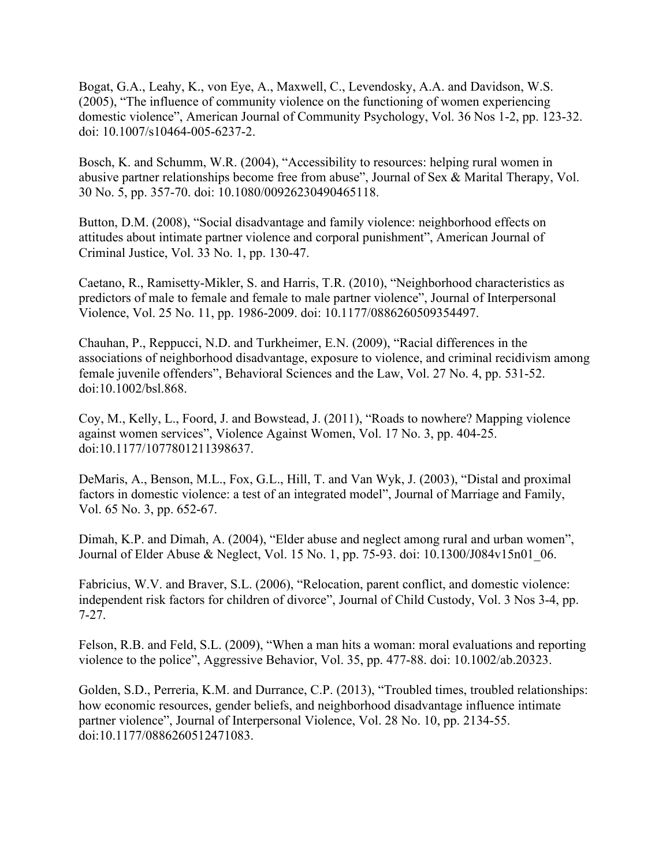Bogat, G.A., Leahy, K., von Eye, A., Maxwell, C., Levendosky, A.A. and Davidson, W.S. (2005), "The influence of community violence on the functioning of women experiencing domestic violence", American Journal of Community Psychology, Vol. 36 Nos 1-2, pp. 123-32. doi: 10.1007/s10464-005-6237-2.

Bosch, K. and Schumm, W.R. (2004), "Accessibility to resources: helping rural women in abusive partner relationships become free from abuse", Journal of Sex & Marital Therapy, Vol. 30 No. 5, pp. 357-70. doi: 10.1080/00926230490465118.

Button, D.M. (2008), "Social disadvantage and family violence: neighborhood effects on attitudes about intimate partner violence and corporal punishment", American Journal of Criminal Justice, Vol. 33 No. 1, pp. 130-47.

Caetano, R., Ramisetty-Mikler, S. and Harris, T.R. (2010), "Neighborhood characteristics as predictors of male to female and female to male partner violence", Journal of Interpersonal Violence, Vol. 25 No. 11, pp. 1986-2009. doi: 10.1177/0886260509354497.

Chauhan, P., Reppucci, N.D. and Turkheimer, E.N. (2009), "Racial differences in the associations of neighborhood disadvantage, exposure to violence, and criminal recidivism among female juvenile offenders", Behavioral Sciences and the Law, Vol. 27 No. 4, pp. 531-52. doi:10.1002/bsl.868.

Coy, M., Kelly, L., Foord, J. and Bowstead, J. (2011), "Roads to nowhere? Mapping violence against women services", Violence Against Women, Vol. 17 No. 3, pp. 404-25. doi:10.1177/1077801211398637.

DeMaris, A., Benson, M.L., Fox, G.L., Hill, T. and Van Wyk, J. (2003), "Distal and proximal factors in domestic violence: a test of an integrated model", Journal of Marriage and Family, Vol. 65 No. 3, pp. 652-67.

Dimah, K.P. and Dimah, A. (2004), "Elder abuse and neglect among rural and urban women", Journal of Elder Abuse & Neglect, Vol. 15 No. 1, pp. 75-93. doi: 10.1300/J084v15n01\_06.

Fabricius, W.V. and Braver, S.L. (2006), "Relocation, parent conflict, and domestic violence: independent risk factors for children of divorce", Journal of Child Custody, Vol. 3 Nos 3-4, pp. 7-27.

Felson, R.B. and Feld, S.L. (2009), "When a man hits a woman: moral evaluations and reporting violence to the police", Aggressive Behavior, Vol. 35, pp. 477-88. doi: 10.1002/ab.20323.

Golden, S.D., Perreria, K.M. and Durrance, C.P. (2013), "Troubled times, troubled relationships: how economic resources, gender beliefs, and neighborhood disadvantage influence intimate partner violence", Journal of Interpersonal Violence, Vol. 28 No. 10, pp. 2134-55. doi:10.1177/0886260512471083.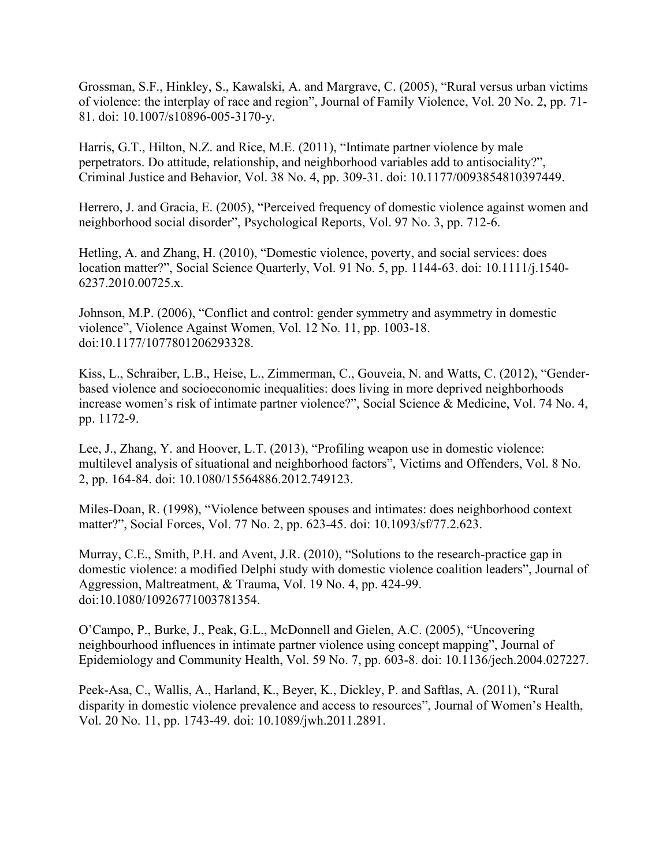Grossman, S.F., Hinkley, S., Kawalski, A. and Margrave, C. (2005), "Rural versus urban victims of violence: the interplay of race and region", Journal of Family Violence, Vol. 20 No. 2, pp. 71- 81. doi: 10.1007/s10896-005-3170-y.

Harris, G.T., Hilton, N.Z. and Rice, M.E. (2011), "Intimate partner violence by male perpetrators. Do attitude, relationship, and neighborhood variables add to antisociality?", Criminal Justice and Behavior, Vol. 38 No. 4, pp. 309-31. doi: 10.1177/0093854810397449.

Herrero, J. and Gracia, E. (2005), "Perceived frequency of domestic violence against women and neighborhood social disorder", Psychological Reports, Vol. 97 No. 3, pp. 712-6.

Hetling, A. and Zhang, H. (2010), "Domestic violence, poverty, and social services: does location matter?", Social Science Quarterly, Vol. 91 No. 5, pp. 1144-63. doi: 10.1111/j.1540- 6237.2010.00725.x.

Johnson, M.P. (2006), "Conflict and control: gender symmetry and asymmetry in domestic violence", Violence Against Women, Vol. 12 No. 11, pp. 1003-18. doi:10.1177/1077801206293328.

Kiss, L., Schraiber, L.B., Heise, L., Zimmerman, C., Gouveia, N. and Watts, C. (2012), "Genderbased violence and socioeconomic inequalities: does living in more deprived neighborhoods increase women's risk of intimate partner violence?", Social Science & Medicine, Vol. 74 No. 4, pp. 1172-9.

Lee, J., Zhang, Y. and Hoover, L.T. (2013), "Profiling weapon use in domestic violence: multilevel analysis of situational and neighborhood factors", Victims and Offenders, Vol. 8 No. 2, pp. 164-84. doi: 10.1080/15564886.2012.749123.

Miles-Doan, R. (1998), "Violence between spouses and intimates: does neighborhood context matter?", Social Forces, Vol. 77 No. 2, pp. 623-45. doi: 10.1093/sf/77.2.623.

Murray, C.E., Smith, P.H. and Avent, J.R. (2010), "Solutions to the research-practice gap in domestic violence: a modified Delphi study with domestic violence coalition leaders", Journal of Aggression, Maltreatment, & Trauma, Vol. 19 No. 4, pp. 424-99. doi:10.1080/10926771003781354.

O'Campo, P., Burke, J., Peak, G.L., McDonnell and Gielen, A.C. (2005), "Uncovering neighbourhood influences in intimate partner violence using concept mapping", Journal of Epidemiology and Community Health, Vol. 59 No. 7, pp. 603-8. doi: 10.1136/jech.2004.027227.

Peek-Asa, C., Wallis, A., Harland, K., Beyer, K., Dickley, P. and Saftlas, A. (2011), "Rural disparity in domestic violence prevalence and access to resources", Journal of Women's Health, Vol. 20 No. 11, pp. 1743-49. doi: 10.1089/jwh.2011.2891.